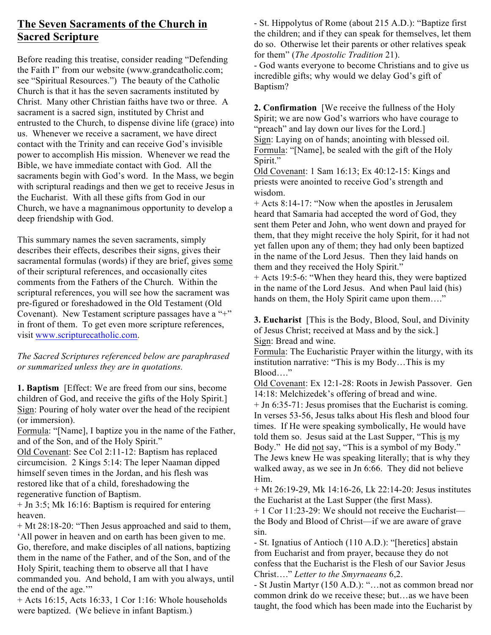## **The Seven Sacraments of the Church in Sacred Scripture**

Before reading this treatise, consider reading "Defending the Faith I" from our website (www.grandcatholic.com; see "Spiritual Resources.") The beauty of the Catholic Church is that it has the seven sacraments instituted by Christ. Many other Christian faiths have two or three. A sacrament is a sacred sign, instituted by Christ and entrusted to the Church, to dispense divine life (grace) into us. Whenever we receive a sacrament, we have direct contact with the Trinity and can receive God's invisible power to accomplish His mission. Whenever we read the Bible, we have immediate contact with God. All the sacraments begin with God's word. In the Mass, we begin with scriptural readings and then we get to receive Jesus in the Eucharist. With all these gifts from God in our Church, we have a magnanimous opportunity to develop a deep friendship with God.

This summary names the seven sacraments, simply describes their effects, describes their signs, gives their sacramental formulas (words) if they are brief, gives some of their scriptural references, and occasionally cites comments from the Fathers of the Church. Within the scriptural references, you will see how the sacrament was pre-figured or foreshadowed in the Old Testament (Old Covenant). New Testament scripture passages have a "+" in front of them. To get even more scripture references, visit www.scripturecatholic.com.

*The Sacred Scriptures referenced below are paraphrased or summarized unless they are in quotations.*

**1. Baptism** [Effect: We are freed from our sins, become children of God, and receive the gifts of the Holy Spirit.] Sign: Pouring of holy water over the head of the recipient (or immersion).

Formula: "[Name], I baptize you in the name of the Father, and of the Son, and of the Holy Spirit."

Old Covenant: See Col 2:11-12: Baptism has replaced circumcision. 2 Kings 5:14: The leper Naaman dipped himself seven times in the Jordan, and his flesh was restored like that of a child, foreshadowing the regenerative function of Baptism.

+ Jn 3:5; Mk 16:16: Baptism is required for entering heaven.

+ Mt 28:18-20: "Then Jesus approached and said to them, 'All power in heaven and on earth has been given to me. Go, therefore, and make disciples of all nations, baptizing them in the name of the Father, and of the Son, and of the Holy Spirit, teaching them to observe all that I have commanded you. And behold, I am with you always, until the end of the age."

+ Acts 16:15, Acts 16:33, 1 Cor 1:16: Whole households were baptized. (We believe in infant Baptism.)

- St. Hippolytus of Rome (about 215 A.D.): "Baptize first the children; and if they can speak for themselves, let them do so. Otherwise let their parents or other relatives speak for them" (*The Apostolic Tradition* 21).

- God wants everyone to become Christians and to give us incredible gifts; why would we delay God's gift of Baptism?

**2. Confirmation** [We receive the fullness of the Holy Spirit; we are now God's warriors who have courage to "preach" and lay down our lives for the Lord.] Sign: Laying on of hands; anointing with blessed oil. Formula: "[Name], be sealed with the gift of the Holy Spirit."

Old Covenant: 1 Sam 16:13; Ex 40:12-15: Kings and priests were anointed to receive God's strength and wisdom.

+ Acts 8:14-17: "Now when the apostles in Jerusalem heard that Samaria had accepted the word of God, they sent them Peter and John, who went down and prayed for them, that they might receive the holy Spirit, for it had not yet fallen upon any of them; they had only been baptized in the name of the Lord Jesus. Then they laid hands on them and they received the Holy Spirit."

+ Acts 19:5-6: "When they heard this, they were baptized in the name of the Lord Jesus. And when Paul laid (his) hands on them, the Holy Spirit came upon them...."

**3. Eucharist** [This is the Body, Blood, Soul, and Divinity of Jesus Christ; received at Mass and by the sick.] Sign: Bread and wine.

Formula: The Eucharistic Prayer within the liturgy, with its institution narrative: "This is my Body…This is my Blood "

Old Covenant: Ex 12:1-28: Roots in Jewish Passover. Gen 14:18: Melchizedek's offering of bread and wine.

+ Jn 6:35-71: Jesus promises that the Eucharist is coming. In verses 53-56, Jesus talks about His flesh and blood four times. If He were speaking symbolically, He would have told them so. Jesus said at the Last Supper, "This is my Body." He did not say, "This is a symbol of my Body." The Jews knew He was speaking literally; that is why they walked away, as we see in Jn 6:66. They did not believe Him.

+ Mt 26:19-29, Mk 14:16-26, Lk 22:14-20: Jesus institutes the Eucharist at the Last Supper (the first Mass).

 $+ 1$  Cor 11:23-29: We should not receive the Eucharist the Body and Blood of Christ—if we are aware of grave sin.

- St. Ignatius of Antioch (110 A.D.): "[heretics] abstain from Eucharist and from prayer, because they do not confess that the Eucharist is the Flesh of our Savior Jesus Christ…." *Letter to the Smyrnaeans* 6,2.

- St Justin Martyr (150 A.D.): "…not as common bread nor common drink do we receive these; but…as we have been taught, the food which has been made into the Eucharist by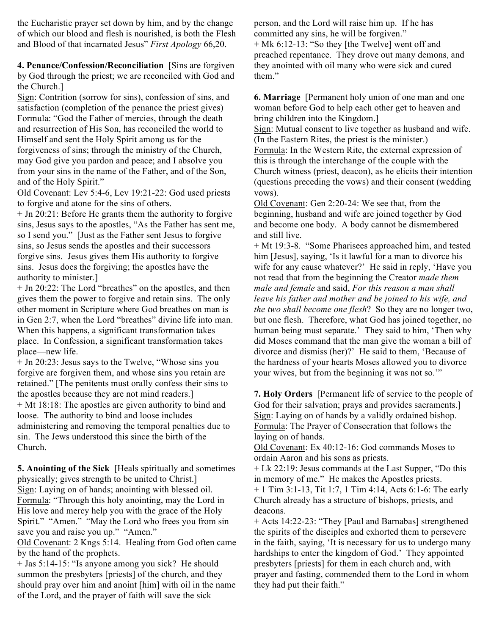the Eucharistic prayer set down by him, and by the change of which our blood and flesh is nourished, is both the Flesh and Blood of that incarnated Jesus" *First Apology* 66,20.

**4. Penance/Confession/Reconciliation** [Sins are forgiven by God through the priest; we are reconciled with God and the Church.]

Sign: Contrition (sorrow for sins), confession of sins, and satisfaction (completion of the penance the priest gives) Formula: "God the Father of mercies, through the death and resurrection of His Son, has reconciled the world to Himself and sent the Holy Spirit among us for the forgiveness of sins; through the ministry of the Church, may God give you pardon and peace; and I absolve you from your sins in the name of the Father, and of the Son, and of the Holy Spirit."

Old Covenant: Lev 5:4-6, Lev 19:21-22: God used priests to forgive and atone for the sins of others.

+ Jn 20:21: Before He grants them the authority to forgive sins, Jesus says to the apostles, "As the Father has sent me, so I send you." [Just as the Father sent Jesus to forgive sins, so Jesus sends the apostles and their successors forgive sins. Jesus gives them His authority to forgive sins. Jesus does the forgiving; the apostles have the authority to minister.]

+ Jn 20:22: The Lord "breathes" on the apostles, and then gives them the power to forgive and retain sins. The only other moment in Scripture where God breathes on man is in Gen 2:7, when the Lord "breathes" divine life into man. When this happens, a significant transformation takes place. In Confession, a significant transformation takes place—new life.

+ Jn 20:23: Jesus says to the Twelve, "Whose sins you forgive are forgiven them, and whose sins you retain are retained." [The penitents must orally confess their sins to the apostles because they are not mind readers.] + Mt 18:18: The apostles are given authority to bind and loose. The authority to bind and loose includes administering and removing the temporal penalties due to sin. The Jews understood this since the birth of the Church.

**5. Anointing of the Sick** [Heals spiritually and sometimes physically; gives strength to be united to Christ.] Sign: Laying on of hands; anointing with blessed oil. Formula: "Through this holy anointing, may the Lord in His love and mercy help you with the grace of the Holy Spirit." "Amen." "May the Lord who frees you from sin save you and raise you up." "Amen."

Old Covenant: 2 Kngs 5:14. Healing from God often came by the hand of the prophets.

+ Jas 5:14-15: "Is anyone among you sick? He should summon the presbyters [priests] of the church, and they should pray over him and anoint [him] with oil in the name of the Lord, and the prayer of faith will save the sick

person, and the Lord will raise him up. If he has committed any sins, he will be forgiven." + Mk 6:12-13: "So they [the Twelve] went off and preached repentance. They drove out many demons, and they anointed with oil many who were sick and cured them."

**6. Marriage** [Permanent holy union of one man and one woman before God to help each other get to heaven and bring children into the Kingdom.]

Sign: Mutual consent to live together as husband and wife. (In the Eastern Rites, the priest is the minister.)

Formula: In the Western Rite, the external expression of this is through the interchange of the couple with the Church witness (priest, deacon), as he elicits their intention (questions preceding the vows) and their consent (wedding vows).

Old Covenant: Gen 2:20-24: We see that, from the beginning, husband and wife are joined together by God and become one body. A body cannot be dismembered and still live.

+ Mt 19:3-8. "Some Pharisees approached him, and tested him [Jesus], saying, 'Is it lawful for a man to divorce his wife for any cause whatever?' He said in reply, 'Have you not read that from the beginning the Creator *made them male and female* and said, *For this reason a man shall leave his father and mother and be joined to his wife, and the two shall become one flesh*? So they are no longer two, but one flesh. Therefore, what God has joined together, no human being must separate.' They said to him, 'Then why did Moses command that the man give the woman a bill of divorce and dismiss (her)?' He said to them, 'Because of the hardness of your hearts Moses allowed you to divorce your wives, but from the beginning it was not so.'"

**7. Holy Orders** [Permanent life of service to the people of God for their salvation; prays and provides sacraments. Sign: Laying on of hands by a validly ordained bishop. Formula: The Prayer of Consecration that follows the laying on of hands.

Old Covenant: Ex 40:12-16: God commands Moses to ordain Aaron and his sons as priests.

+ Lk 22:19: Jesus commands at the Last Supper, "Do this in memory of me." He makes the Apostles priests. + 1 Tim 3:1-13, Tit 1:7, 1 Tim 4:14, Acts 6:1-6: The early Church already has a structure of bishops, priests, and deacons.

+ Acts 14:22-23: "They [Paul and Barnabas] strengthened the spirits of the disciples and exhorted them to persevere in the faith, saying, 'It is necessary for us to undergo many hardships to enter the kingdom of God.' They appointed presbyters [priests] for them in each church and, with prayer and fasting, commended them to the Lord in whom they had put their faith."